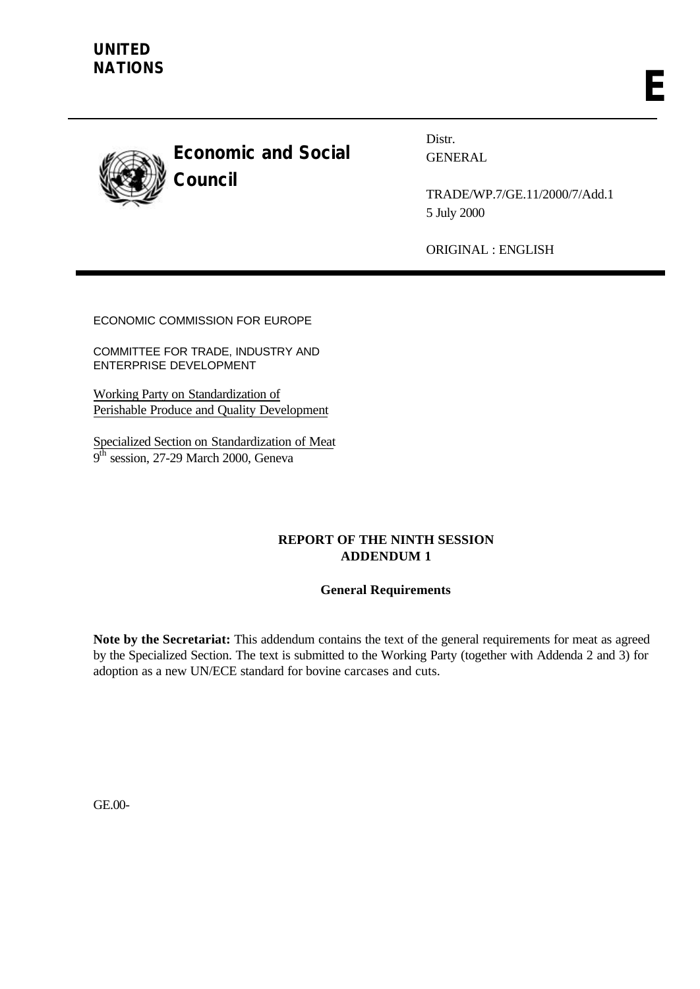

**Economic and Social Council**

Distr. GENERAL

TRADE/WP.7/GE.11/2000/7/Add.1 5 July 2000

ORIGINAL : ENGLISH

ECONOMIC COMMISSION FOR EUROPE

COMMITTEE FOR TRADE, INDUSTRY AND ENTERPRISE DEVELOPMENT

Working Party on Standardization of Perishable Produce and Quality Development

Specialized Section on Standardization of Meat  $9^{\bar{th}}$  session, 27-29 March 2000, Geneva

# **REPORT OF THE NINTH SESSION ADDENDUM 1**

# **General Requirements**

**Note by the Secretariat:** This addendum contains the text of the general requirements for meat as agreed by the Specialized Section. The text is submitted to the Working Party (together with Addenda 2 and 3) for adoption as a new UN/ECE standard for bovine carcases and cuts.

GE.00-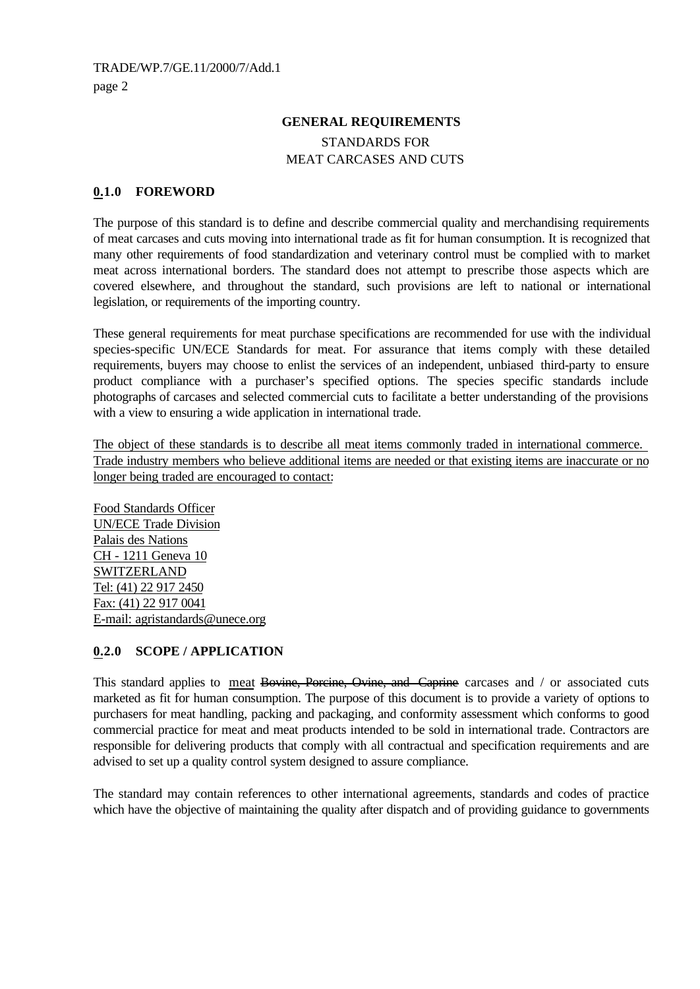### **GENERAL REQUIREMENTS**

STANDARDS FOR MEAT CARCASES AND CUTS

### **0.1.0 FOREWORD**

The purpose of this standard is to define and describe commercial quality and merchandising requirements of meat carcases and cuts moving into international trade as fit for human consumption. It is recognized that many other requirements of food standardization and veterinary control must be complied with to market meat across international borders. The standard does not attempt to prescribe those aspects which are covered elsewhere, and throughout the standard, such provisions are left to national or international legislation, or requirements of the importing country.

These general requirements for meat purchase specifications are recommended for use with the individual species-specific UN/ECE Standards for meat. For assurance that items comply with these detailed requirements, buyers may choose to enlist the services of an independent, unbiased third-party to ensure product compliance with a purchaser's specified options. The species specific standards include photographs of carcases and selected commercial cuts to facilitate a better understanding of the provisions with a view to ensuring a wide application in international trade.

The object of these standards is to describe all meat items commonly traded in international commerce. Trade industry members who believe additional items are needed or that existing items are inaccurate or no longer being traded are encouraged to contact:

Food Standards Officer UN/ECE Trade Division Palais des Nations CH - 1211 Geneva 10 SWITZERLAND Tel: (41) 22 917 2450 Fax: (41) 22 917 0041 E-mail: agristandards@unece.org

#### **0.2.0 SCOPE / APPLICATION**

This standard applies to meat Bovine, Porcine, Ovine, and Caprine carcases and / or associated cuts marketed as fit for human consumption. The purpose of this document is to provide a variety of options to purchasers for meat handling, packing and packaging, and conformity assessment which conforms to good commercial practice for meat and meat products intended to be sold in international trade. Contractors are responsible for delivering products that comply with all contractual and specification requirements and are advised to set up a quality control system designed to assure compliance.

The standard may contain references to other international agreements, standards and codes of practice which have the objective of maintaining the quality after dispatch and of providing guidance to governments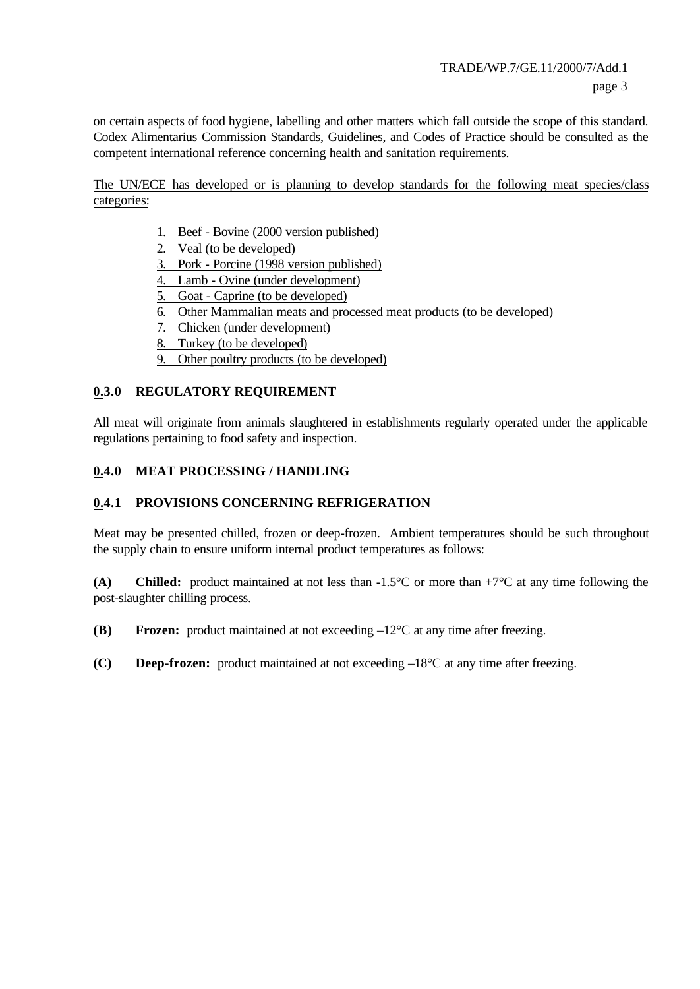on certain aspects of food hygiene, labelling and other matters which fall outside the scope of this standard. Codex Alimentarius Commission Standards, Guidelines, and Codes of Practice should be consulted as the competent international reference concerning health and sanitation requirements.

The UN/ECE has developed or is planning to develop standards for the following meat species/class categories:

- 1. Beef Bovine (2000 version published)
- 2. Veal (to be developed)
- 3. Pork Porcine (1998 version published)
- 4. Lamb Ovine (under development)
- 5. Goat Caprine (to be developed)
- 6. Other Mammalian meats and processed meat products (to be developed)
- 7. Chicken (under development)
- 8. Turkey (to be developed)
- 9. Other poultry products (to be developed)

#### **0.3.0 REGULATORY REQUIREMENT**

All meat will originate from animals slaughtered in establishments regularly operated under the applicable regulations pertaining to food safety and inspection.

#### **0.4.0 MEAT PROCESSING / HANDLING**

### **0.4.1 PROVISIONS CONCERNING REFRIGERATION**

Meat may be presented chilled, frozen or deep-frozen. Ambient temperatures should be such throughout the supply chain to ensure uniform internal product temperatures as follows:

**(A) Chilled:** product maintained at not less than -1.5°C or more than +7°C at any time following the post-slaughter chilling process.

**(B) Frozen:** product maintained at not exceeding –12°C at any time after freezing.

**(C) Deep-frozen:** product maintained at not exceeding –18°C at any time after freezing.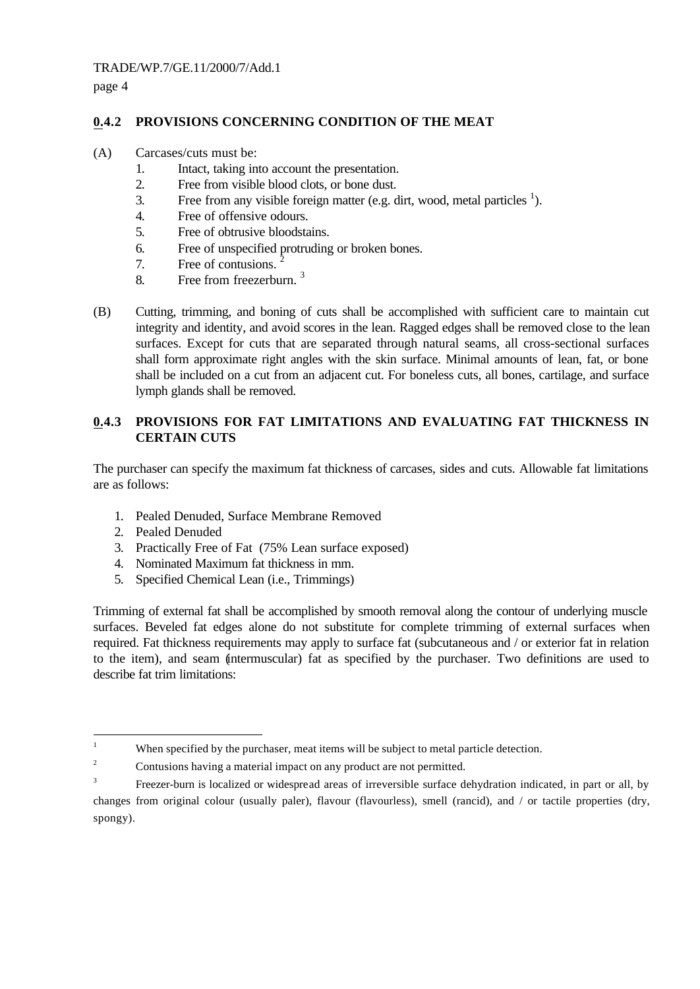page 4

# **0.4.2 PROVISIONS CONCERNING CONDITION OF THE MEAT**

- (A) Carcases/cuts must be:
	- 1. Intact, taking into account the presentation.
	- 2. Free from visible blood clots, or bone dust.
	- 3. Free from any visible foreign matter (e.g. dirt, wood, metal particles  $\frac{1}{1}$ ).
	- 4. Free of offensive odours.
	- 5. Free of obtrusive bloodstains.
	- 6. Free of unspecified protruding or broken bones.
	- 7. Free of contusions. <sup>2</sup>
	- 8. Free from freezerburn. <sup>3</sup>
- (B) Cutting, trimming, and boning of cuts shall be accomplished with sufficient care to maintain cut integrity and identity, and avoid scores in the lean. Ragged edges shall be removed close to the lean surfaces. Except for cuts that are separated through natural seams, all cross-sectional surfaces shall form approximate right angles with the skin surface. Minimal amounts of lean, fat, or bone shall be included on a cut from an adjacent cut. For boneless cuts, all bones, cartilage, and surface lymph glands shall be removed.

# **0.4.3 PROVISIONS FOR FAT LIMITATIONS AND EVALUATING FAT THICKNESS IN CERTAIN CUTS**

The purchaser can specify the maximum fat thickness of carcases, sides and cuts. Allowable fat limitations are as follows:

- 1. Pealed Denuded, Surface Membrane Removed
- 2. Pealed Denuded

 $\overline{a}$ 

- 3. Practically Free of Fat (75% Lean surface exposed)
- 4. Nominated Maximum fat thickness in mm.
- 5. Specified Chemical Lean (i.e., Trimmings)

Trimming of external fat shall be accomplished by smooth removal along the contour of underlying muscle surfaces. Beveled fat edges alone do not substitute for complete trimming of external surfaces when required. Fat thickness requirements may apply to surface fat (subcutaneous and / or exterior fat in relation to the item), and seam (intermuscular) fat as specified by the purchaser. Two definitions are used to describe fat trim limitations:

<sup>&</sup>lt;sup>1</sup> When specified by the purchaser, meat items will be subject to metal particle detection.

<sup>&</sup>lt;sup>2</sup> Contusions having a material impact on any product are not permitted.

<sup>3</sup> Freezer-burn is localized or widespread areas of irreversible surface dehydration indicated, in part or all, by changes from original colour (usually paler), flavour (flavourless), smell (rancid), and / or tactile properties (dry, spongy).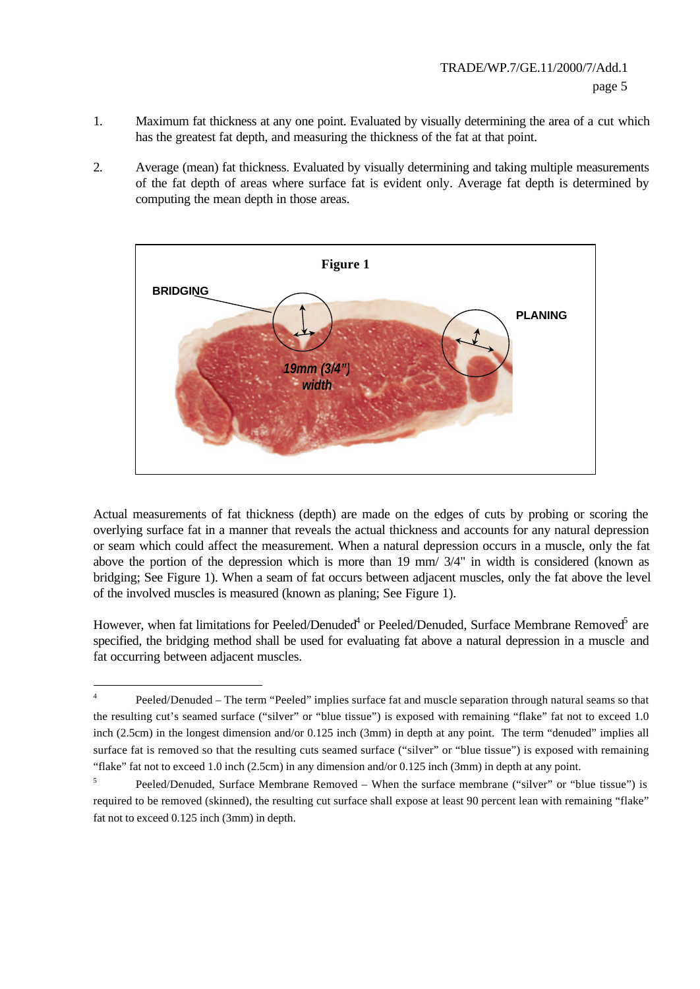- 1. Maximum fat thickness at any one point. Evaluated by visually determining the area of a cut which has the greatest fat depth, and measuring the thickness of the fat at that point.
- 2. Average (mean) fat thickness. Evaluated by visually determining and taking multiple measurements of the fat depth of areas where surface fat is evident only. Average fat depth is determined by computing the mean depth in those areas.



Actual measurements of fat thickness (depth) are made on the edges of cuts by probing or scoring the overlying surface fat in a manner that reveals the actual thickness and accounts for any natural depression or seam which could affect the measurement. When a natural depression occurs in a muscle, only the fat above the portion of the depression which is more than 19 mm/ 3/4" in width is considered (known as bridging; See Figure 1). When a seam of fat occurs between adjacent muscles, only the fat above the level of the involved muscles is measured (known as planing; See Figure 1).

However, when fat limitations for Peeled/Denuded $^4$  or Peeled/Denuded, Surface Membrane Removed $^5$  are specified, the bridging method shall be used for evaluating fat above a natural depression in a muscle and fat occurring between adjacent muscles.

 4 Peeled/Denuded – The term "Peeled" implies surface fat and muscle separation through natural seams so that the resulting cut's seamed surface ("silver" or "blue tissue") is exposed with remaining "flake" fat not to exceed 1.0 inch (2.5cm) in the longest dimension and/or 0.125 inch (3mm) in depth at any point. The term "denuded" implies all surface fat is removed so that the resulting cuts seamed surface ("silver" or "blue tissue") is exposed with remaining "flake" fat not to exceed 1.0 inch (2.5cm) in any dimension and/or 0.125 inch (3mm) in depth at any point.

<sup>5</sup> Peeled/Denuded, Surface Membrane Removed – When the surface membrane ("silver" or "blue tissue") is required to be removed (skinned), the resulting cut surface shall expose at least 90 percent lean with remaining "flake" fat not to exceed 0.125 inch (3mm) in depth.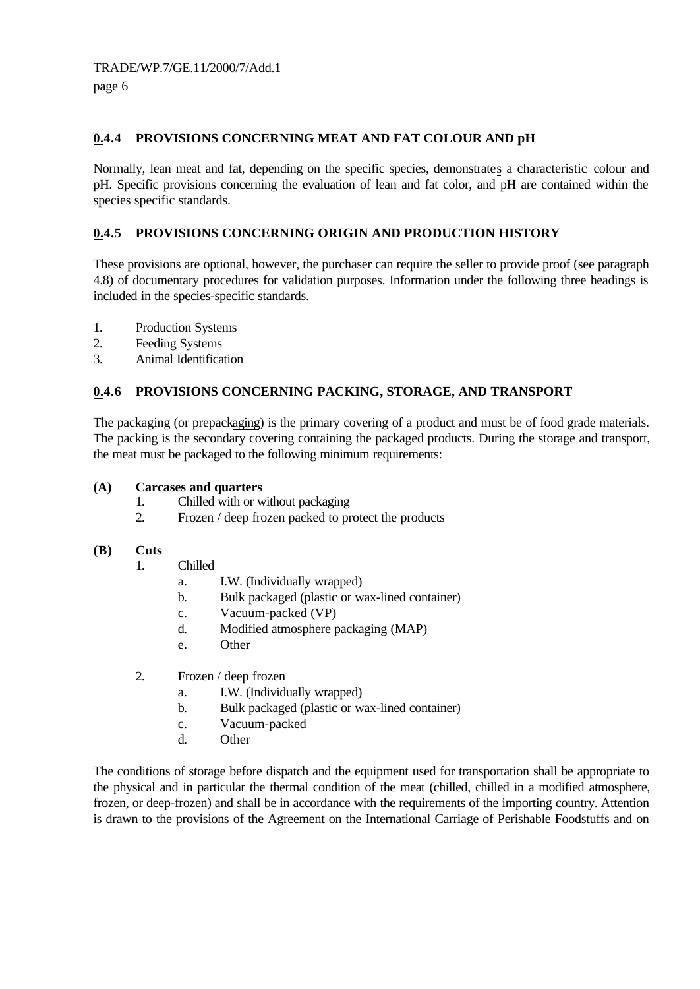page 6

# **0.4.4 PROVISIONS CONCERNING MEAT AND FAT COLOUR AND pH**

Normally, lean meat and fat, depending on the specific species, demonstrates a characteristic colour and pH. Specific provisions concerning the evaluation of lean and fat color, and pH are contained within the species specific standards.

# **0.4.5 PROVISIONS CONCERNING ORIGIN AND PRODUCTION HISTORY**

These provisions are optional, however, the purchaser can require the seller to provide proof (see paragraph 4.8) of documentary procedures for validation purposes. Information under the following three headings is included in the species-specific standards.

- 1. Production Systems
- 2. Feeding Systems
- 3. Animal Identification

### **0.4.6 PROVISIONS CONCERNING PACKING, STORAGE, AND TRANSPORT**

The packaging (or prepackaging) is the primary covering of a product and must be of food grade materials. The packing is the secondary covering containing the packaged products. During the storage and transport, the meat must be packaged to the following minimum requirements:

#### **(A) Carcases and quarters**

- 1. Chilled with or without packaging
- 2. Frozen / deep frozen packed to protect the products

#### **(B) Cuts**

- 1. Chilled
	- a. I.W. (Individually wrapped)
	- b. Bulk packaged (plastic or wax-lined container)
	- c. Vacuum-packed (VP)
	- d. Modified atmosphere packaging (MAP)
	- e. Other
- 2. Frozen / deep frozen
	- a. I.W. (Individually wrapped)
	- b. Bulk packaged (plastic or wax-lined container)
	- c. Vacuum-packed
	- d. Other

The conditions of storage before dispatch and the equipment used for transportation shall be appropriate to the physical and in particular the thermal condition of the meat (chilled, chilled in a modified atmosphere, frozen, or deep-frozen) and shall be in accordance with the requirements of the importing country. Attention is drawn to the provisions of the Agreement on the International Carriage of Perishable Foodstuffs and on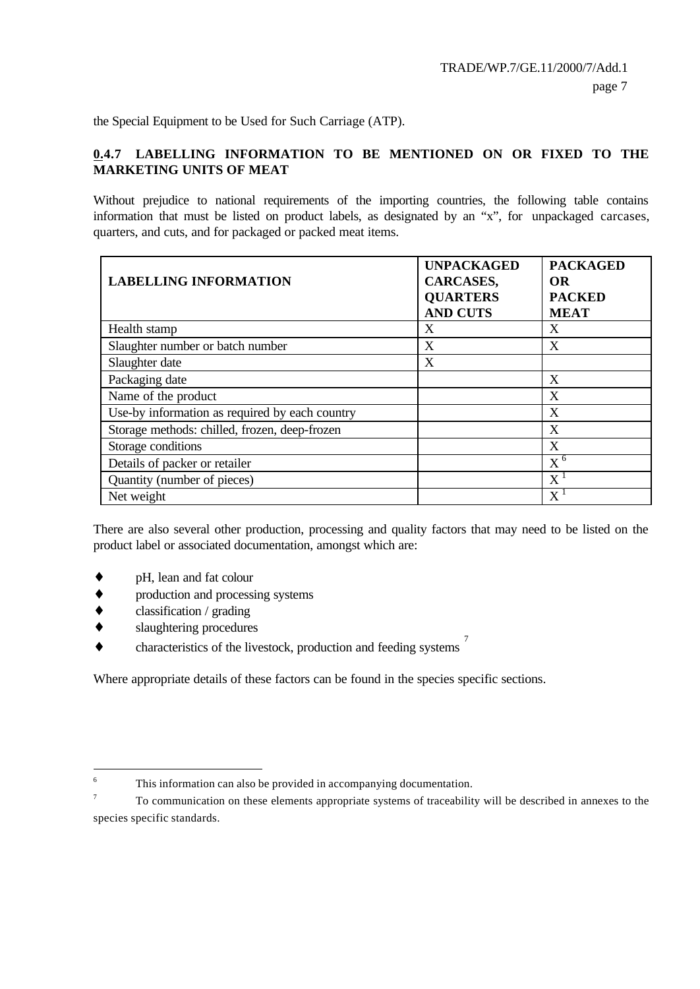the Special Equipment to be Used for Such Carriage (ATP).

# **0.4.7 LABELLING INFORMATION TO BE MENTIONED ON OR FIXED TO THE MARKETING UNITS OF MEAT**

Without prejudice to national requirements of the importing countries, the following table contains information that must be listed on product labels, as designated by an "x", for unpackaged carcases, quarters, and cuts, and for packaged or packed meat items.

| <b>LABELLING INFORMATION</b>                   | <b>UNPACKAGED</b><br>CARCASES,<br><b>QUARTERS</b><br><b>AND CUTS</b> | <b>PACKAGED</b><br><b>OR</b><br><b>PACKED</b><br><b>MEAT</b> |
|------------------------------------------------|----------------------------------------------------------------------|--------------------------------------------------------------|
| Health stamp                                   | X                                                                    | Χ                                                            |
| Slaughter number or batch number               | X                                                                    | X                                                            |
| Slaughter date                                 | X                                                                    |                                                              |
| Packaging date                                 |                                                                      | X                                                            |
| Name of the product                            |                                                                      | X                                                            |
| Use-by information as required by each country |                                                                      | X                                                            |
| Storage methods: chilled, frozen, deep-frozen  |                                                                      | X                                                            |
| Storage conditions                             |                                                                      | X                                                            |
| Details of packer or retailer                  |                                                                      | $X^6$                                                        |
| Quantity (number of pieces)                    |                                                                      | $\mathrm{X}\,{}^1$                                           |
| Net weight                                     |                                                                      | $\mathrm{X}^{\mathrm{1}}$                                    |

There are also several other production, processing and quality factors that may need to be listed on the product label or associated documentation, amongst which are:

- ♦ pH, lean and fat colour
- production and processing systems
- $classification / grading$
- slaughtering procedures
- $\bullet$  characteristics of the livestock, production and feeding systems  $\frac{7}{2}$

Where appropriate details of these factors can be found in the species specific sections.

 6 This information can also be provided in accompanying documentation.

<sup>7</sup> To communication on these elements appropriate systems of traceability will be described in annexes to the species specific standards.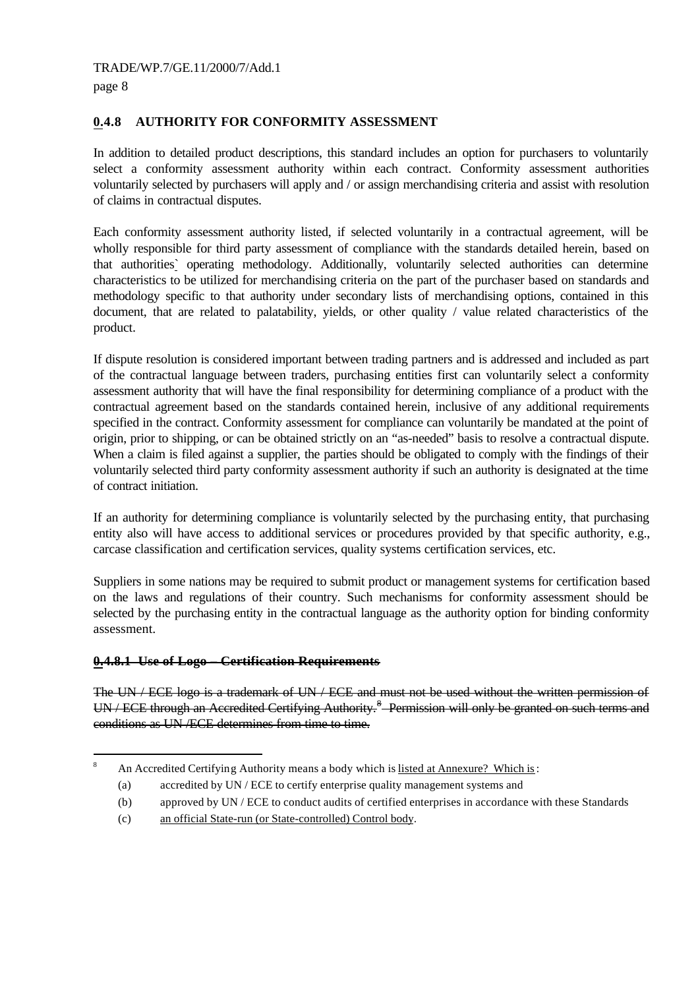$\overline{a}$ 

# **0.4.8 AUTHORITY FOR CONFORMITY ASSESSMENT**

In addition to detailed product descriptions, this standard includes an option for purchasers to voluntarily select a conformity assessment authority within each contract. Conformity assessment authorities voluntarily selected by purchasers will apply and / or assign merchandising criteria and assist with resolution of claims in contractual disputes.

Each conformity assessment authority listed, if selected voluntarily in a contractual agreement, will be wholly responsible for third party assessment of compliance with the standards detailed herein, based on that authorities` operating methodology. Additionally, voluntarily selected authorities can determine characteristics to be utilized for merchandising criteria on the part of the purchaser based on standards and methodology specific to that authority under secondary lists of merchandising options, contained in this document, that are related to palatability, yields, or other quality / value related characteristics of the product.

If dispute resolution is considered important between trading partners and is addressed and included as part of the contractual language between traders, purchasing entities first can voluntarily select a conformity assessment authority that will have the final responsibility for determining compliance of a product with the contractual agreement based on the standards contained herein, inclusive of any additional requirements specified in the contract. Conformity assessment for compliance can voluntarily be mandated at the point of origin, prior to shipping, or can be obtained strictly on an "as-needed" basis to resolve a contractual dispute. When a claim is filed against a supplier, the parties should be obligated to comply with the findings of their voluntarily selected third party conformity assessment authority if such an authority is designated at the time of contract initiation.

If an authority for determining compliance is voluntarily selected by the purchasing entity, that purchasing entity also will have access to additional services or procedures provided by that specific authority, e.g., carcase classification and certification services, quality systems certification services, etc.

Suppliers in some nations may be required to submit product or management systems for certification based on the laws and regulations of their country. Such mechanisms for conformity assessment should be selected by the purchasing entity in the contractual language as the authority option for binding conformity assessment.

#### **0.4.8.1 Use of Logo – Certification Requirements**

The UN / ECE logo is a trademark of UN / ECE and must not be used without the written permission of UN / ECE through an Accredited Certifying Authority.<sup>8</sup> Permission will only be granted on such terms and conditions as UN /ECE determines from time to time.

<sup>8</sup> An Accredited Certifying Authority means a body which is listed at Annexure? Which is:

<sup>(</sup>a) accredited by UN / ECE to certify enterprise quality management systems and

<sup>(</sup>b) approved by UN / ECE to conduct audits of certified enterprises in accordance with these Standards

<sup>(</sup>c) an official State-run (or State-controlled) Control body.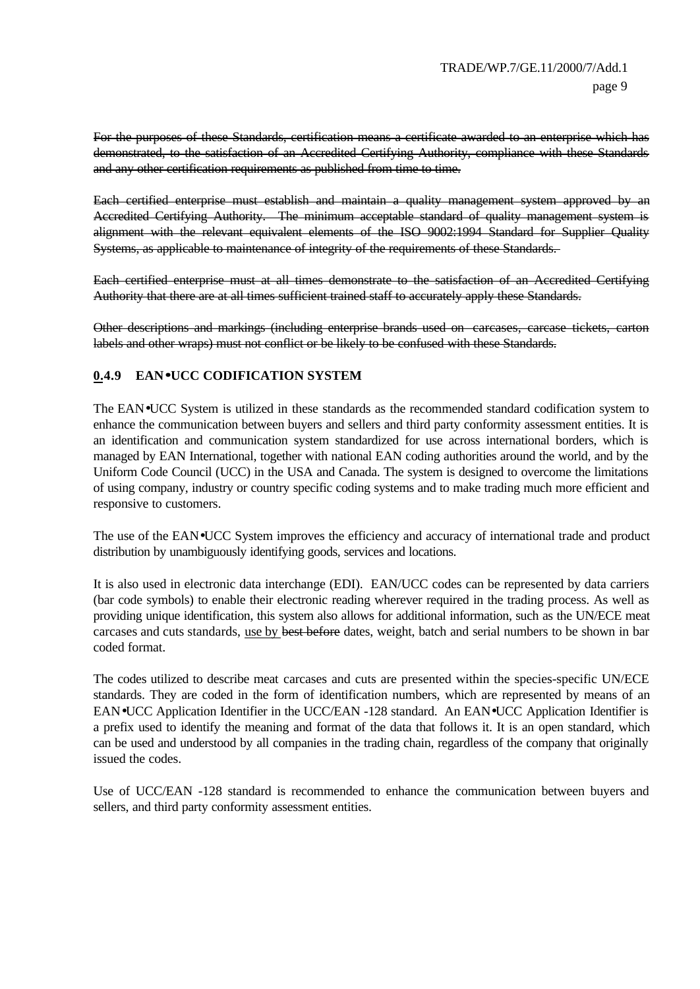For the purposes of these Standards, certification means a certificate awarded to an enterprise which has demonstrated, to the satisfaction of an Accredited Certifying Authority, compliance with these Standards and any other certification requirements as published from time to time.

Each certified enterprise must establish and maintain a quality management system approved by Accredited Certifying Authority. The minimum acceptable standard of quality management system is alignment with the relevant equivalent elements of the ISO 9002:1994 Standard for Supplier Quality Systems, as applicable to maintenance of integrity of the requirements of these Standards.

Each certified enterprise must at all times demonstrate to the satisfaction of an Accredited Certifying Authority that there are at all times sufficient trained staff to accurately apply these Standards.

Other descriptions and markings (including enterprise brands used on carcases, carcase tickets, carton labels and other wraps) must not conflict or be likely to be confused with these Standards.

# **0.4.9 EAN·UCC CODIFICATION SYSTEM**

The EAN•UCC System is utilized in these standards as the recommended standard codification system to enhance the communication between buyers and sellers and third party conformity assessment entities. It is an identification and communication system standardized for use across international borders, which is managed by EAN International, together with national EAN coding authorities around the world, and by the Uniform Code Council (UCC) in the USA and Canada. The system is designed to overcome the limitations of using company, industry or country specific coding systems and to make trading much more efficient and responsive to customers.

The use of the EAN•UCC System improves the efficiency and accuracy of international trade and product distribution by unambiguously identifying goods, services and locations.

It is also used in electronic data interchange (EDI). EAN/UCC codes can be represented by data carriers (bar code symbols) to enable their electronic reading wherever required in the trading process. As well as providing unique identification, this system also allows for additional information, such as the UN/ECE meat carcases and cuts standards, use by best before dates, weight, batch and serial numbers to be shown in bar coded format.

The codes utilized to describe meat carcases and cuts are presented within the species-specific UN/ECE standards. They are coded in the form of identification numbers, which are represented by means of an EAN•UCC Application Identifier in the UCC/EAN -128 standard. An EAN•UCC Application Identifier is a prefix used to identify the meaning and format of the data that follows it. It is an open standard, which can be used and understood by all companies in the trading chain, regardless of the company that originally issued the codes.

Use of UCC/EAN -128 standard is recommended to enhance the communication between buyers and sellers, and third party conformity assessment entities.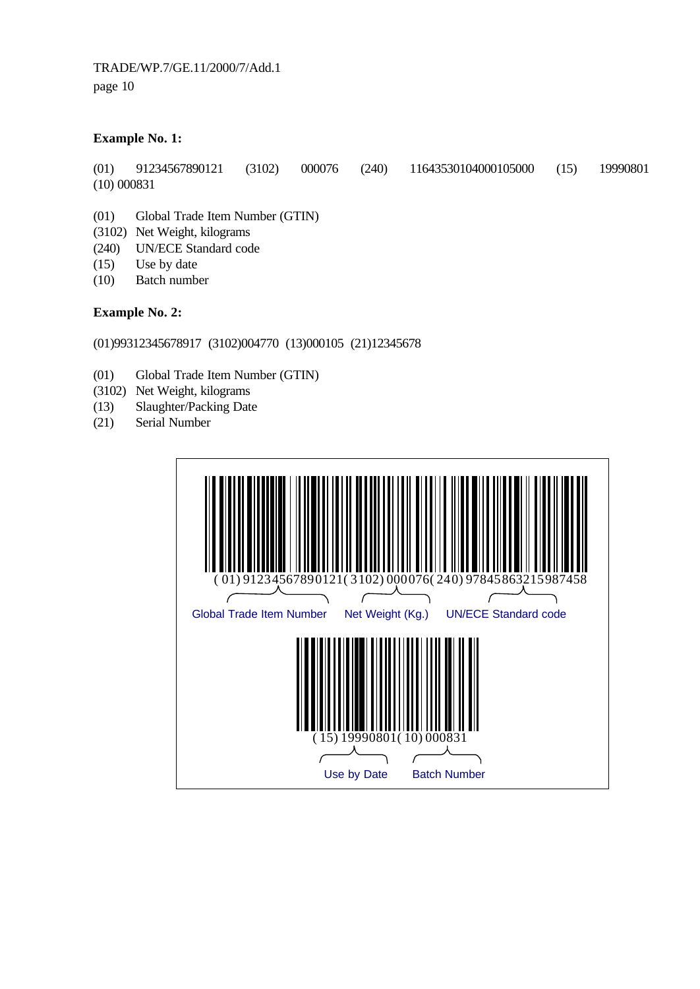TRADE/WP.7/GE.11/2000/7/Add.1 page 10

#### **Example No. 1:**

(01) 91234567890121 (3102) 000076 (240) 11643530104000105000 (15) 19990801 (10) 000831

- (01) Global Trade Item Number (GTIN)
- (3102) Net Weight, kilograms
- (240) UN/ECE Standard code
- (15) Use by date
- (10) Batch number

#### **Example No. 2:**

#### (01)99312345678917 (3102)004770 (13)000105 (21)12345678

- (01) Global Trade Item Number (GTIN)
- (3102) Net Weight, kilograms
- (13) Slaughter/Packing Date
- (21) Serial Number